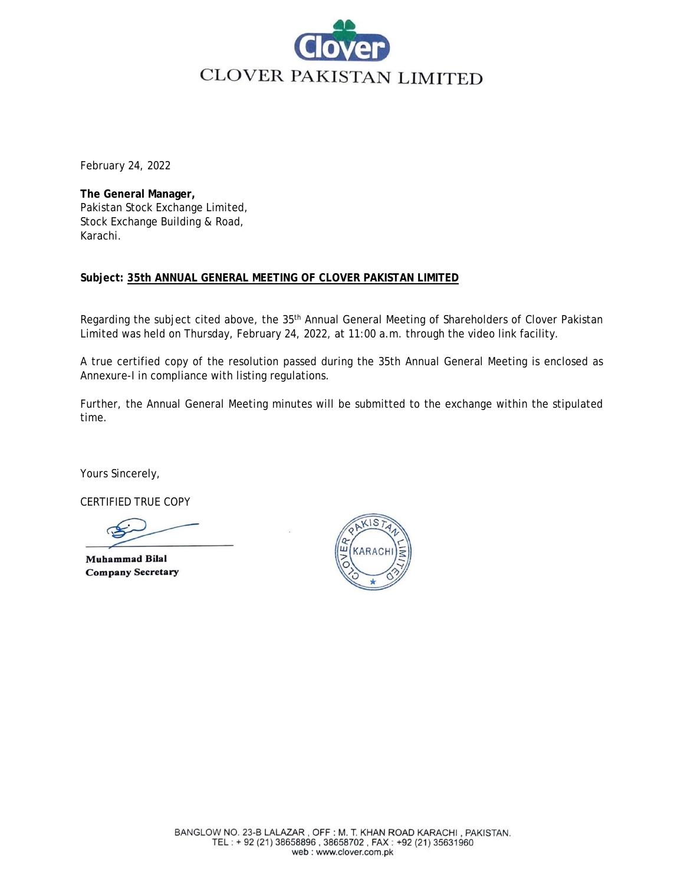

February 24, 2022

**The General Manager,** Pakistan Stock Exchange Limited, Stock Exchange Building & Road, Karachi.

## **Subject: 35th ANNUAL GENERAL MEETING OF CLOVER PAKISTAN LIMITED**

Regarding the subject cited above, the 35<sup>th</sup> Annual General Meeting of Shareholders of Clover Pakistan Limited was held on Thursday, February 24, 2022, at 11:00 a.m. through the video link facility.

A true certified copy of the resolution passed during the 35th Annual General Meeting is enclosed as Annexure-I in compliance with listing regulations.

Further, the Annual General Meeting minutes will be submitted to the exchange within the stipulated time.

Yours Sincerely,

CERTIFIED TRUE COPY

**Muhammad Bilal Company Secretary**